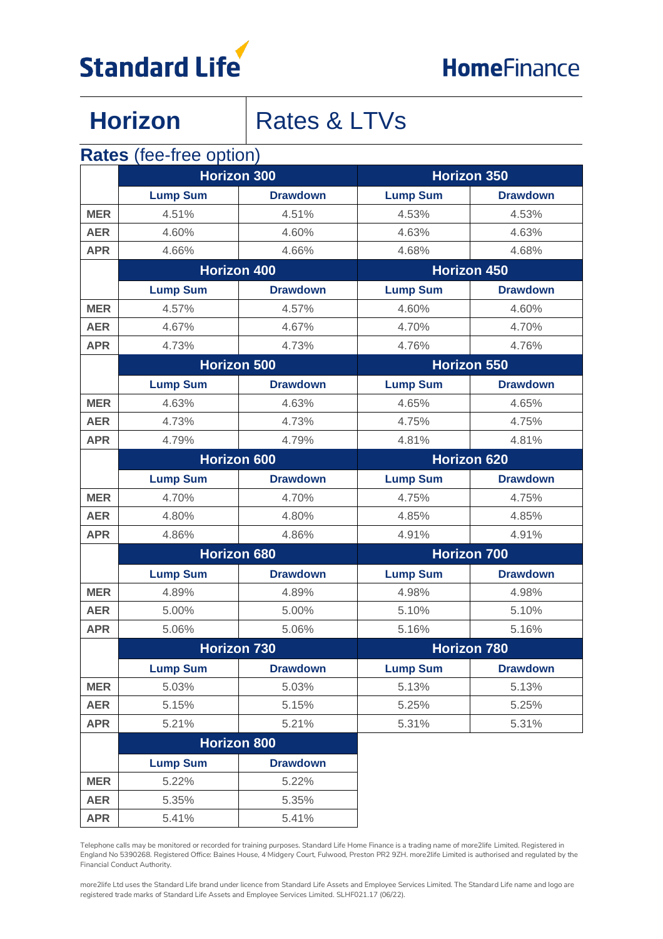

## Horizon | Rates & LTVs

#### **Rates** (fee-free option)

|            | <b>Horizon 300</b> |                    | <b>Horizon 350</b> |                 |  |
|------------|--------------------|--------------------|--------------------|-----------------|--|
|            | <b>Lump Sum</b>    | <b>Drawdown</b>    | <b>Lump Sum</b>    | <b>Drawdown</b> |  |
| <b>MER</b> | 4.51%              | 4.51%              | 4.53%              | 4.53%           |  |
| <b>AER</b> | 4.60%              | 4.60%              | 4.63%              | 4.63%           |  |
| <b>APR</b> | 4.66%              | 4.66%              | 4.68%              | 4.68%           |  |
|            | <b>Horizon 400</b> |                    | <b>Horizon 450</b> |                 |  |
|            | <b>Lump Sum</b>    | <b>Drawdown</b>    | <b>Lump Sum</b>    | <b>Drawdown</b> |  |
| <b>MER</b> | 4.57%              | 4.57%              | 4.60%              | 4.60%           |  |
| <b>AER</b> | 4.67%              | 4.67%              | 4.70%              | 4.70%           |  |
| <b>APR</b> | 4.73%              | 4.73%              | 4.76%              | 4.76%           |  |
|            | <b>Horizon 500</b> |                    | <b>Horizon 550</b> |                 |  |
|            | <b>Lump Sum</b>    | <b>Drawdown</b>    | <b>Lump Sum</b>    | <b>Drawdown</b> |  |
| <b>MER</b> | 4.63%              | 4.63%              | 4.65%              | 4.65%           |  |
| <b>AER</b> | 4.73%              | 4.73%              | 4.75%              | 4.75%           |  |
| <b>APR</b> | 4.79%              | 4.79%              | 4.81%              | 4.81%           |  |
|            | <b>Horizon 600</b> |                    | <b>Horizon 620</b> |                 |  |
|            | <b>Lump Sum</b>    | <b>Drawdown</b>    | <b>Lump Sum</b>    | <b>Drawdown</b> |  |
| <b>MER</b> | 4.70%              | 4.70%              | 4.75%              | 4.75%           |  |
| <b>AER</b> | 4.80%              | 4.80%              | 4.85%              | 4.85%           |  |
| <b>APR</b> | 4.86%              | 4.86%              | 4.91%              | 4.91%           |  |
|            | <b>Horizon 680</b> |                    | <b>Horizon 700</b> |                 |  |
|            | <b>Lump Sum</b>    | <b>Drawdown</b>    | <b>Lump Sum</b>    | <b>Drawdown</b> |  |
| <b>MER</b> | 4.89%              | 4.89%              | 4.98%              | 4.98%           |  |
| <b>AER</b> | 5.00%              | 5.00%              | 5.10%              | 5.10%           |  |
| <b>APR</b> | 5.06%              | 5.06%              | 5.16%              | 5.16%           |  |
|            | <b>Horizon 730</b> |                    | <b>Horizon 780</b> |                 |  |
|            | <b>Lump Sum</b>    | <b>Drawdown</b>    | <b>Lump Sum</b>    | <b>Drawdown</b> |  |
| <b>MER</b> | 5.03%              | 5.03%              | 5.13%              | 5.13%           |  |
| <b>AER</b> | 5.15%              | 5.15%              | 5.25%              | 5.25%           |  |
| <b>APR</b> | 5.21%              | 5.21%              | 5.31%              | 5.31%           |  |
|            |                    | <b>Horizon 800</b> |                    |                 |  |
|            | <b>Lump Sum</b>    | <b>Drawdown</b>    |                    |                 |  |
| <b>MER</b> | 5.22%              | 5.22%              |                    |                 |  |
| <b>AER</b> | 5.35%              | 5.35%              |                    |                 |  |
| <b>APR</b> | 5.41%              | 5.41%              |                    |                 |  |

Telephone calls may be monitored or recorded for training purposes. Standard Life Home Finance is a trading name of more2life Limited. Registered in England No 5390268. Registered Office: Baines House, 4 Midgery Court, Fulwood, Preston PR2 9ZH. more2life Limited is authorised and regulated by the Financial Conduct Authority.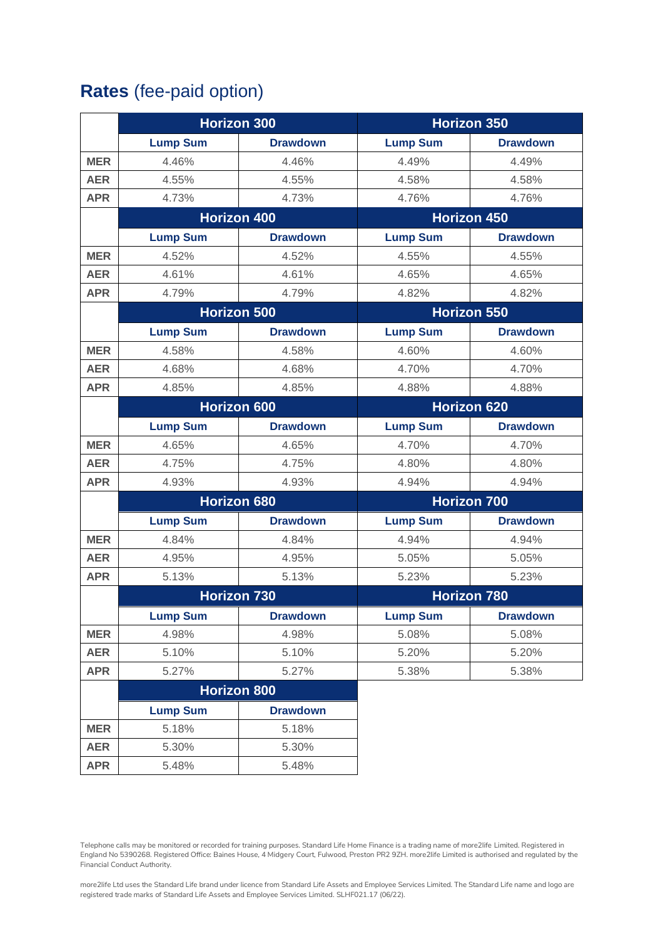#### **Rates** (fee-paid option)

|            | <b>Horizon 300</b>                 |                    | <b>Horizon 350</b> |                    |  |  |
|------------|------------------------------------|--------------------|--------------------|--------------------|--|--|
|            | <b>Lump Sum</b>                    | <b>Drawdown</b>    | <b>Lump Sum</b>    | <b>Drawdown</b>    |  |  |
| <b>MER</b> | 4.46%                              | 4.46%              | 4.49%              | 4.49%              |  |  |
| <b>AER</b> | 4.55%                              | 4.55%              | 4.58%              | 4.58%              |  |  |
| <b>APR</b> | 4.73%                              | 4.73%              | 4.76%              | 4.76%              |  |  |
|            | <b>Horizon 400</b>                 |                    | <b>Horizon 450</b> |                    |  |  |
|            | <b>Lump Sum</b>                    | <b>Drawdown</b>    | <b>Lump Sum</b>    | <b>Drawdown</b>    |  |  |
| <b>MER</b> | 4.52%                              | 4.52%              | 4.55%              | 4.55%              |  |  |
| <b>AER</b> | 4.61%                              | 4.61%              | 4.65%              | 4.65%              |  |  |
| <b>APR</b> | 4.79%                              | 4.79%              |                    | 4.82%              |  |  |
|            |                                    | <b>Horizon 500</b> |                    | <b>Horizon 550</b> |  |  |
|            | <b>Lump Sum</b>                    | <b>Drawdown</b>    | <b>Lump Sum</b>    | <b>Drawdown</b>    |  |  |
| <b>MER</b> | 4.58%                              | 4.58%              | 4.60%              | 4.60%              |  |  |
| <b>AER</b> | 4.68%                              | 4.68%              | 4.70%              | 4.70%              |  |  |
| <b>APR</b> | 4.85%                              | 4.85%              | 4.88%              | 4.88%              |  |  |
|            | <b>Horizon 600</b>                 |                    | <b>Horizon 620</b> |                    |  |  |
|            | <b>Lump Sum</b>                    | <b>Drawdown</b>    | <b>Lump Sum</b>    | <b>Drawdown</b>    |  |  |
| <b>MER</b> | 4.65%                              | 4.65%              | 4.70%              | 4.70%              |  |  |
| <b>AER</b> | 4.75%                              | 4.75%              | 4.80%              | 4.80%              |  |  |
| <b>APR</b> | 4.93%                              | 4.93%              | 4.94%              | 4.94%              |  |  |
|            |                                    | <b>Horizon 680</b> | <b>Horizon 700</b> |                    |  |  |
|            | <b>Lump Sum</b>                    | <b>Drawdown</b>    | <b>Lump Sum</b>    | <b>Drawdown</b>    |  |  |
| <b>MER</b> | 4.84%                              | 4.84%              | 4.94%              | 4.94%              |  |  |
| <b>AER</b> | 4.95%                              | 4.95%              | 5.05%              | 5.05%              |  |  |
| <b>APR</b> | 5.13%                              | 5.13%              | 5.23%              | 5.23%              |  |  |
|            |                                    | <b>Horizon 730</b> |                    | <b>Horizon 780</b> |  |  |
|            | <b>Lump Sum</b>                    | <b>Drawdown</b>    | <b>Lump Sum</b>    | <b>Drawdown</b>    |  |  |
| <b>MER</b> | 4.98%                              | 4.98%              | 5.08%              | 5.08%              |  |  |
| <b>AER</b> | 5.10%                              | 5.10%              | 5.20%              | 5.20%              |  |  |
| <b>APR</b> | 5.27%                              | 5.27%              | 5.38%              | 5.38%              |  |  |
|            | Horizon 800                        |                    |                    |                    |  |  |
|            | <b>Lump Sum</b><br><b>Drawdown</b> |                    |                    |                    |  |  |
| <b>MER</b> | 5.18%                              | 5.18%              |                    |                    |  |  |
| <b>AER</b> | 5.30%                              | 5.30%              |                    |                    |  |  |
| <b>APR</b> | 5.48%                              | 5.48%              |                    |                    |  |  |

Telephone calls may be monitored or recorded for training purposes. Standard Life Home Finance is a trading name of more2life Limited. Registered in England No 5390268. Registered Office: Baines House, 4 Midgery Court, Fulwood, Preston PR2 9ZH. more2life Limited is authorised and regulated by the Financial Conduct Authority.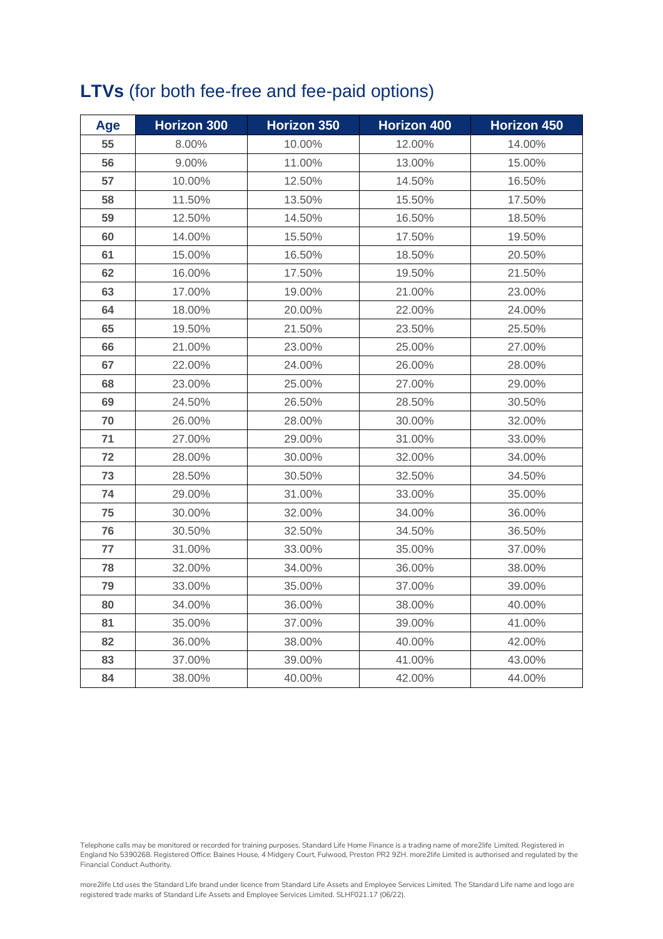### **LTVs** (for both fee-free and fee-paid options)

| Age | <b>Horizon 300</b> | Horizon 350 | <b>Horizon 400</b> | <b>Horizon 450</b> |  |
|-----|--------------------|-------------|--------------------|--------------------|--|
| 55  | 8.00%              | 10.00%      | 12.00%             | 14.00%             |  |
| 56  | 9.00%              | 11.00%      | 13.00%             | 15.00%             |  |
| 57  | 10.00%             | 12.50%      | 14.50%             | 16.50%             |  |
| 58  | 11.50%             | 13.50%      | 15.50%             | 17.50%             |  |
| 59  | 12.50%             | 14.50%      | 16.50%             | 18.50%             |  |
| 60  | 14.00%             | 15.50%      | 17.50%             | 19.50%             |  |
| 61  | 15.00%             | 16.50%      | 18.50%             | 20.50%             |  |
| 62  | 16.00%             | 17.50%      | 19.50%             | 21.50%             |  |
| 63  | 17.00%             | 19.00%      | 21.00%             | 23.00%             |  |
| 64  | 18.00%             | 20.00%      | 22.00%             | 24.00%             |  |
| 65  | 19.50%             | 21.50%      | 23.50%             | 25.50%             |  |
| 66  | 21.00%             | 23.00%      | 25.00%             | 27.00%             |  |
| 67  | 22.00%             | 24.00%      | 26.00%             | 28.00%             |  |
| 68  | 23.00%             | 25.00%      | 27.00%             | 29.00%             |  |
| 69  | 24.50%             | 26.50%      | 28.50%             | 30.50%             |  |
| 70  | 26.00%             | 28.00%      | 30.00%             | 32.00%             |  |
| 71  | 27.00%             | 29.00%      | 31.00%             | 33.00%             |  |
| 72  | 28.00%             | 30.00%      | 32.00%             | 34.00%             |  |
| 73  | 28.50%             | 30.50%      | 32.50%             | 34.50%             |  |
| 74  | 29.00%             | 31.00%      | 33.00%             | 35.00%             |  |
| 75  | 30.00%             | 32.00%      | 34.00%             | 36.00%             |  |
| 76  | 30.50%             | 32.50%      | 34.50%             | 36.50%             |  |
| 77  | 31.00%             | 33.00%      | 35.00%             | 37.00%             |  |
| 78  | 32.00%             | 34.00%      | 36.00%             | 38.00%             |  |
| 79  | 33.00%             | 35.00%      | 37.00%             | 39.00%             |  |
| 80  | 34.00%             | 36.00%      | 38.00%             | 40.00%             |  |
| 81  | 35.00%             | 37.00%      | 39.00%             | 41.00%             |  |
| 82  | 36.00%             | 38.00%      | 40.00%             | 42.00%             |  |
| 83  | 37.00%             | 39.00%      | 41.00%             | 43.00%             |  |
| 84  | 38.00%             | 40.00%      | 42.00%             | 44.00%             |  |

Telephone calls may be monitored or recorded for training purposes. Standard Life Home Finance is a trading name of more2life Limited. Registered in England No 5390268. Registered Office: Baines House, 4 Midgery Court, Fulwood, Preston PR2 9ZH. more2life Limited is authorised and regulated by the Financial Conduct Authority.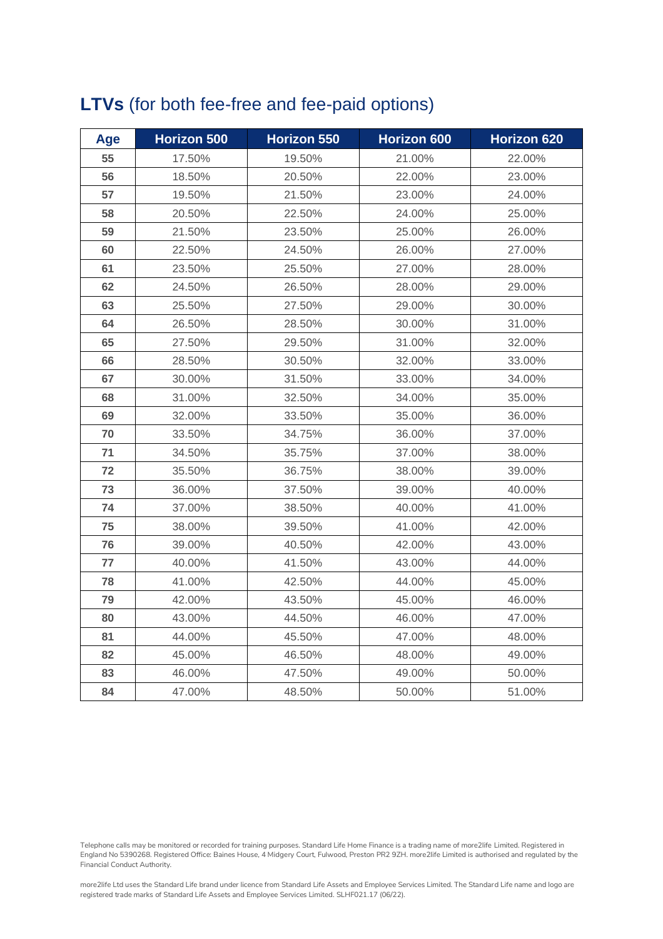#### **LTVs** (for both fee-free and fee-paid options)

| Age | <b>Horizon 500</b> | Horizon 550      | Horizon 600      | Horizon 620 |  |
|-----|--------------------|------------------|------------------|-------------|--|
| 55  | 17.50%             | 19.50%           | 21.00%           | 22.00%      |  |
| 56  | 18.50%             | 20.50%           | 22.00%           | 23.00%      |  |
| 57  | 19.50%             | 21.50%           | 23.00%           | 24.00%      |  |
| 58  | 20.50%             | 22.50%           | 24.00%           | 25.00%      |  |
| 59  | 21.50%             | 23.50%           | 25.00%           | 26.00%      |  |
| 60  | 22.50%             | 24.50%           | 26.00%           | 27.00%      |  |
| 61  | 23.50%             | 25.50%           | 27.00%           | 28.00%      |  |
| 62  | 24.50%             | 26.50%           | 28.00%           | 29.00%      |  |
| 63  | 25.50%             | 27.50%           | 29.00%           | 30.00%      |  |
| 64  | 26.50%             | 28.50%           | 30.00%           | 31.00%      |  |
| 65  | 27.50%             | 29.50%           | 31.00%           | 32.00%      |  |
| 66  | 28.50%             | 30.50%           | 32.00%           | 33.00%      |  |
| 67  | 30.00%             | 31.50%           | 33.00%           | 34.00%      |  |
| 68  | 31.00%             | 32.50%           | 34.00%           | 35.00%      |  |
| 69  | 32.00%             | 33.50%           | 35.00%           | 36.00%      |  |
| 70  | 33.50%             | 34.75%           | 36.00%           |             |  |
| 71  | 34.50%             | 35.75%           | 37.00%           | 38.00%      |  |
| 72  | 35.50%             | 36.75%           | 38.00%           | 39.00%      |  |
| 73  | 36.00%             | 37.50%           | 39.00%           | 40.00%      |  |
| 74  | 37.00%             | 38.50%           | 40.00%           | 41.00%      |  |
| 75  | 38.00%             | 39.50%           | 41.00%           | 42.00%      |  |
| 76  | 39.00%             | 40.50%           | 42.00%           | 43.00%      |  |
| 77  | 40.00%             | 41.50%<br>43.00% |                  | 44.00%      |  |
| 78  | 41.00%             | 42.50%           | 44.00%<br>45.00% |             |  |
| 79  | 42.00%             | 43.50%           | 45.00%           | 46.00%      |  |
| 80  | 43.00%             | 44.50%           | 46.00%           | 47.00%      |  |
| 81  | 44.00%             | 45.50%           | 47.00%           | 48.00%      |  |
| 82  | 45.00%             | 46.50%           | 48.00%           | 49.00%      |  |
| 83  | 46.00%             | 47.50%           | 49.00%<br>50.00% |             |  |
| 84  | 47.00%             | 48.50%           | 50.00%           | 51.00%      |  |

Telephone calls may be monitored or recorded for training purposes. Standard Life Home Finance is a trading name of more2life Limited. Registered in England No 5390268. Registered Office: Baines House, 4 Midgery Court, Fulwood, Preston PR2 9ZH. more2life Limited is authorised and regulated by the Financial Conduct Authority.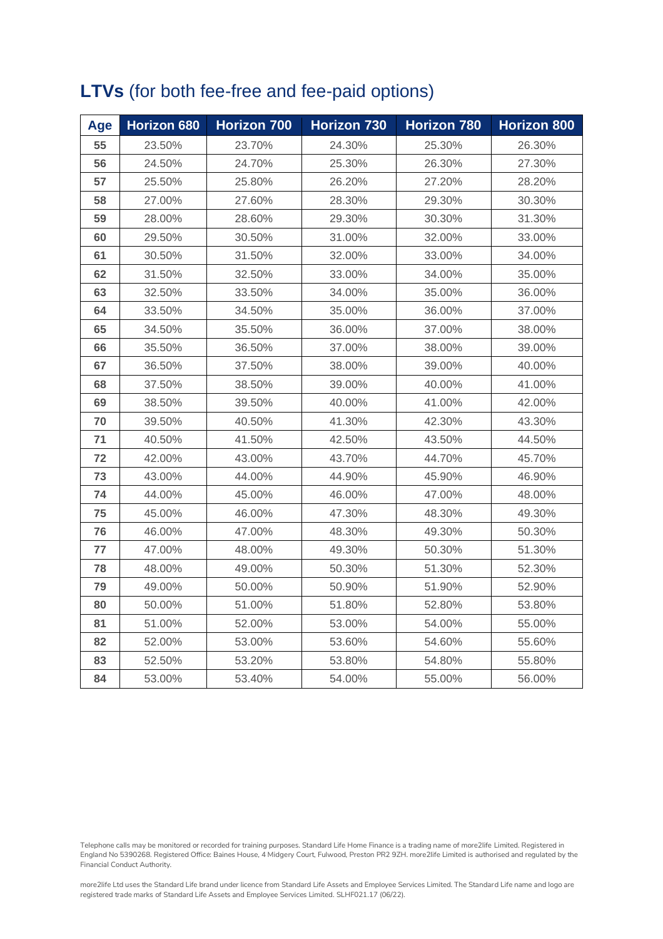### **LTVs** (for both fee-free and fee-paid options)

| Age | Horizon 680 | Horizon 700 | Horizon 730 | <b>Horizon 780</b> | <b>Horizon 800</b> |
|-----|-------------|-------------|-------------|--------------------|--------------------|
| 55  | 23.50%      | 23.70%      | 24.30%      | 25.30%             | 26.30%             |
| 56  | 24.50%      | 24.70%      | 25.30%      | 26.30%             | 27.30%             |
| 57  | 25.50%      | 25.80%      | 26.20%      | 27.20%             | 28.20%             |
| 58  | 27.00%      | 27.60%      | 28.30%      | 29.30%             | 30.30%             |
| 59  | 28.00%      | 28.60%      | 29.30%      | 30.30%             | 31.30%             |
| 60  | 29.50%      | 30.50%      | 31.00%      | 32.00%             | 33.00%             |
| 61  | 30.50%      | 31.50%      | 32.00%      | 33.00%             | 34.00%             |
| 62  | 31.50%      | 32.50%      | 33.00%      | 34.00%             | 35.00%             |
| 63  | 32.50%      | 33.50%      | 34.00%      | 35.00%             | 36.00%             |
| 64  | 33.50%      | 34.50%      | 35.00%      | 36.00%             | 37.00%             |
| 65  | 34.50%      | 35.50%      | 36.00%      | 37.00%             | 38.00%             |
| 66  | 35.50%      | 36.50%      | 37.00%      | 38.00%             | 39.00%             |
| 67  | 36.50%      | 37.50%      | 38.00%      | 39.00%             | 40.00%             |
| 68  | 37.50%      | 38.50%      | 39.00%      | 40.00%             | 41.00%             |
| 69  | 38.50%      | 39.50%      | 40.00%      | 41.00%             | 42.00%             |
| 70  | 39.50%      | 40.50%      | 41.30%      | 42.30%             | 43.30%             |
| 71  | 40.50%      | 41.50%      | 42.50%      | 43.50%             | 44.50%             |
| 72  | 42.00%      | 43.00%      | 43.70%      | 44.70%             | 45.70%             |
| 73  | 43.00%      | 44.00%      | 44.90%      | 45.90%             | 46.90%             |
| 74  | 44.00%      | 45.00%      | 46.00%      | 47.00%             | 48.00%             |
| 75  | 45.00%      | 46.00%      | 47.30%      | 48.30%             | 49.30%             |
| 76  | 46.00%      | 47.00%      | 48.30%      | 49.30%             | 50.30%             |
| 77  | 47.00%      | 48.00%      | 49.30%      | 50.30%             | 51.30%             |
| 78  | 48.00%      | 49.00%      | 50.30%      | 51.30%             | 52.30%             |
| 79  | 49.00%      | 50.00%      | 50.90%      | 51.90%             | 52.90%             |
| 80  | 50.00%      | 51.00%      | 51.80%      | 52.80%             | 53.80%             |
| 81  | 51.00%      | 52.00%      | 53.00%      | 54.00%             | 55.00%             |
| 82  | 52.00%      | 53.00%      | 53.60%      | 54.60%             | 55.60%             |
| 83  | 52.50%      | 53.20%      | 53.80%      | 54.80%             | 55.80%             |
| 84  | 53.00%      | 53.40%      | 54.00%      | 55.00%             | 56.00%             |

Telephone calls may be monitored or recorded for training purposes. Standard Life Home Finance is a trading name of more2life Limited. Registered in England No 5390268. Registered Office: Baines House, 4 Midgery Court, Fulwood, Preston PR2 9ZH. more2life Limited is authorised and regulated by the Financial Conduct Authority.